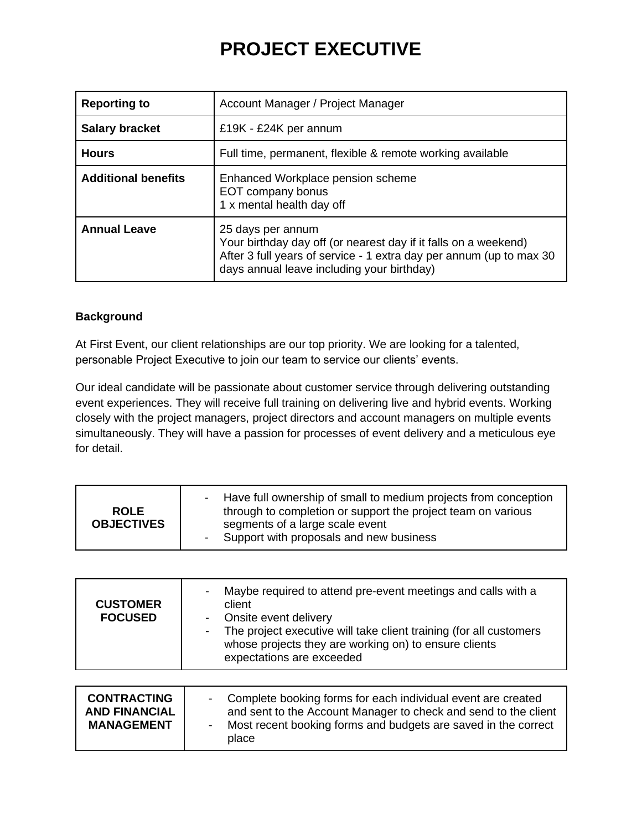## **PROJECT EXECUTIVE**

| <b>Reporting to</b>        | Account Manager / Project Manager                                                                                                                                                                         |
|----------------------------|-----------------------------------------------------------------------------------------------------------------------------------------------------------------------------------------------------------|
| <b>Salary bracket</b>      | £19K - £24K per annum                                                                                                                                                                                     |
| <b>Hours</b>               | Full time, permanent, flexible & remote working available                                                                                                                                                 |
| <b>Additional benefits</b> | Enhanced Workplace pension scheme<br>EOT company bonus<br>1 x mental health day off                                                                                                                       |
| <b>Annual Leave</b>        | 25 days per annum<br>Your birthday day off (or nearest day if it falls on a weekend)<br>After 3 full years of service - 1 extra day per annum (up to max 30<br>days annual leave including your birthday) |

### **Background**

At First Event, our client relationships are our top priority. We are looking for a talented, personable Project Executive to join our team to service our clients' events.

Our ideal candidate will be passionate about customer service through delivering outstanding event experiences. They will receive full training on delivering live and hybrid events. Working closely with the project managers, project directors and account managers on multiple events simultaneously. They will have a passion for processes of event delivery and a meticulous eye for detail.

| <b>ROLE</b><br><b>OBJECTIVES</b> | Have full ownership of small to medium projects from conception<br>through to completion or support the project team on various<br>segments of a large scale event<br>Support with proposals and new business |
|----------------------------------|---------------------------------------------------------------------------------------------------------------------------------------------------------------------------------------------------------------|
|----------------------------------|---------------------------------------------------------------------------------------------------------------------------------------------------------------------------------------------------------------|

| <b>CUSTOMER</b><br><b>FOCUSED</b>                               | Maybe required to attend pre-event meetings and calls with a<br>client<br>Onsite event delivery<br>The project executive will take client training (for all customers<br>whose projects they are working on) to ensure clients<br>expectations are exceeded |
|-----------------------------------------------------------------|-------------------------------------------------------------------------------------------------------------------------------------------------------------------------------------------------------------------------------------------------------------|
| <b>CONTRACTING</b><br><b>AND FINANCIAL</b><br><b>MANAGEMENT</b> | Complete booking forms for each individual event are created<br>-<br>and sent to the Account Manager to check and send to the client<br>Most recent booking forms and budgets are saved in the correct<br>$\overline{\phantom{a}}$<br>place                 |